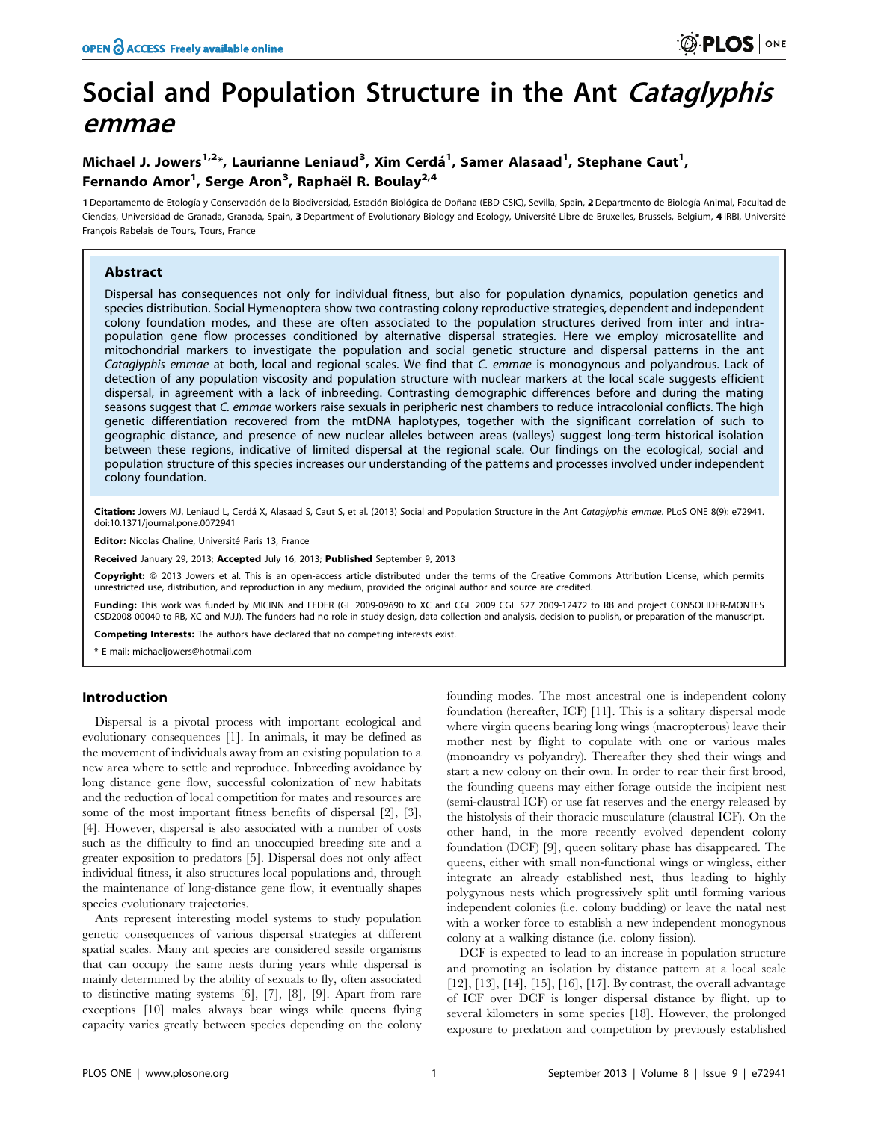# Social and Population Structure in the Ant Cataglyphis emmae

# Michael J. Jowers<sup>1,2\*</sup>, Laurianne Leniaud<sup>3</sup>, Xim Cerdá<sup>1</sup>, Samer Alasaad<sup>1</sup>, Stephane Caut<sup>1</sup>, Fernando Amor<sup>1</sup>, Serge Aron<sup>3</sup>, Raphaël R. Boulay<sup>2,4</sup>

1 Departamento de Etología y Conservación de la Biodiversidad, Estación Biológica de Doñana (EBD-CSIC), Sevilla, Spain, 2 Departmento de Biología Animal, Facultad de Ciencias, Universidad de Granada, Granada, Spain, 3 Department of Evolutionary Biology and Ecology, Université Libre de Bruxelles, Brussels, Belgium, 4 IRBI, Université François Rabelais de Tours, Tours, France

# Abstract

Dispersal has consequences not only for individual fitness, but also for population dynamics, population genetics and species distribution. Social Hymenoptera show two contrasting colony reproductive strategies, dependent and independent colony foundation modes, and these are often associated to the population structures derived from inter and intrapopulation gene flow processes conditioned by alternative dispersal strategies. Here we employ microsatellite and mitochondrial markers to investigate the population and social genetic structure and dispersal patterns in the ant Cataglyphis emmae at both, local and regional scales. We find that C. emmae is monogynous and polyandrous. Lack of detection of any population viscosity and population structure with nuclear markers at the local scale suggests efficient dispersal, in agreement with a lack of inbreeding. Contrasting demographic differences before and during the mating seasons suggest that C. emmae workers raise sexuals in peripheric nest chambers to reduce intracolonial conflicts. The high genetic differentiation recovered from the mtDNA haplotypes, together with the significant correlation of such to geographic distance, and presence of new nuclear alleles between areas (valleys) suggest long-term historical isolation between these regions, indicative of limited dispersal at the regional scale. Our findings on the ecological, social and population structure of this species increases our understanding of the patterns and processes involved under independent colony foundation.

Citation: Jowers MJ, Leniaud L, Cerdá X, Alasaad S, Caut S, et al. (2013) Social and Population Structure in the Ant Cataglyphis emmae. PLoS ONE 8(9): e72941. doi:10.1371/journal.pone.0072941

Editor: Nicolas Chaline, Université Paris 13, France

Received January 29, 2013; Accepted July 16, 2013; Published September 9, 2013

Copyright: © 2013 Jowers et al. This is an open-access article distributed under the terms of the Creative Commons Attribution License, which permits unrestricted use, distribution, and reproduction in any medium, provided the original author and source are credited.

Funding: This work was funded by MICINN and FEDER (GL 2009-09690 to XC and CGL 2009 CGL 527 2009-12472 to RB and project CONSOLIDER-MONTES CSD2008-00040 to RB, XC and MJJ). The funders had no role in study design, data collection and analysis, decision to publish, or preparation of the manuscript.

ompeting Interests: The authors have declared that no competing interests exist.

\* E-mail: michaeljowers@hotmail.com

# Introduction

Dispersal is a pivotal process with important ecological and evolutionary consequences [1]. In animals, it may be defined as the movement of individuals away from an existing population to a new area where to settle and reproduce. Inbreeding avoidance by long distance gene flow, successful colonization of new habitats and the reduction of local competition for mates and resources are some of the most important fitness benefits of dispersal [2], [3], [4]. However, dispersal is also associated with a number of costs such as the difficulty to find an unoccupied breeding site and a greater exposition to predators [5]. Dispersal does not only affect individual fitness, it also structures local populations and, through the maintenance of long-distance gene flow, it eventually shapes species evolutionary trajectories.

Ants represent interesting model systems to study population genetic consequences of various dispersal strategies at different spatial scales. Many ant species are considered sessile organisms that can occupy the same nests during years while dispersal is mainly determined by the ability of sexuals to fly, often associated to distinctive mating systems [6], [7], [8], [9]. Apart from rare exceptions [10] males always bear wings while queens flying capacity varies greatly between species depending on the colony

founding modes. The most ancestral one is independent colony foundation (hereafter, ICF) [11]. This is a solitary dispersal mode where virgin queens bearing long wings (macropterous) leave their mother nest by flight to copulate with one or various males (monoandry vs polyandry). Thereafter they shed their wings and start a new colony on their own. In order to rear their first brood, the founding queens may either forage outside the incipient nest (semi-claustral ICF) or use fat reserves and the energy released by the histolysis of their thoracic musculature (claustral ICF). On the other hand, in the more recently evolved dependent colony foundation (DCF) [9], queen solitary phase has disappeared. The queens, either with small non-functional wings or wingless, either integrate an already established nest, thus leading to highly polygynous nests which progressively split until forming various independent colonies (i.e. colony budding) or leave the natal nest with a worker force to establish a new independent monogynous colony at a walking distance (i.e. colony fission).

DCF is expected to lead to an increase in population structure and promoting an isolation by distance pattern at a local scale [12], [13], [14], [15], [16], [17]. By contrast, the overall advantage of ICF over DCF is longer dispersal distance by flight, up to several kilometers in some species [18]. However, the prolonged exposure to predation and competition by previously established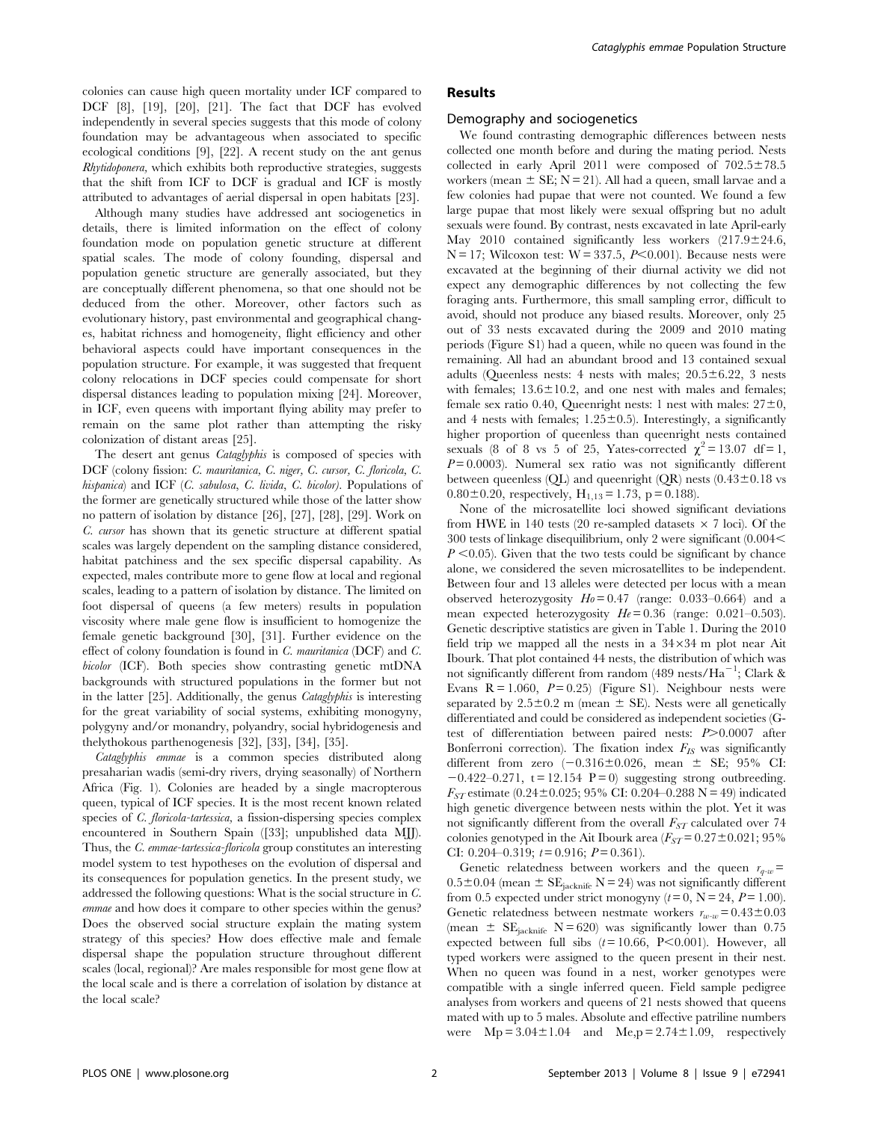colonies can cause high queen mortality under ICF compared to DCF [8], [19], [20], [21]. The fact that DCF has evolved independently in several species suggests that this mode of colony foundation may be advantageous when associated to specific ecological conditions [9], [22]. A recent study on the ant genus Rhytidoponera, which exhibits both reproductive strategies, suggests that the shift from ICF to DCF is gradual and ICF is mostly attributed to advantages of aerial dispersal in open habitats [23].

Although many studies have addressed ant sociogenetics in details, there is limited information on the effect of colony foundation mode on population genetic structure at different spatial scales. The mode of colony founding, dispersal and population genetic structure are generally associated, but they are conceptually different phenomena, so that one should not be deduced from the other. Moreover, other factors such as evolutionary history, past environmental and geographical changes, habitat richness and homogeneity, flight efficiency and other behavioral aspects could have important consequences in the population structure. For example, it was suggested that frequent colony relocations in DCF species could compensate for short dispersal distances leading to population mixing [24]. Moreover, in ICF, even queens with important flying ability may prefer to remain on the same plot rather than attempting the risky colonization of distant areas [25].

The desert ant genus Cataglyphis is composed of species with DCF (colony fission: C. mauritanica, C. niger, C. cursor, C. floricola, C. hispanica) and ICF (C. sabulosa, C. livida, C. bicolor). Populations of the former are genetically structured while those of the latter show no pattern of isolation by distance [26], [27], [28], [29]. Work on C. cursor has shown that its genetic structure at different spatial scales was largely dependent on the sampling distance considered, habitat patchiness and the sex specific dispersal capability. As expected, males contribute more to gene flow at local and regional scales, leading to a pattern of isolation by distance. The limited on foot dispersal of queens (a few meters) results in population viscosity where male gene flow is insufficient to homogenize the female genetic background [30], [31]. Further evidence on the effect of colony foundation is found in C. mauritanica (DCF) and C. bicolor (ICF). Both species show contrasting genetic mtDNA backgrounds with structured populations in the former but not in the latter [25]. Additionally, the genus Cataglyphis is interesting for the great variability of social systems, exhibiting monogyny, polygyny and/or monandry, polyandry, social hybridogenesis and thelythokous parthenogenesis [32], [33], [34], [35].

Cataglyphis emmae is a common species distributed along presaharian wadis (semi-dry rivers, drying seasonally) of Northern Africa (Fig. 1). Colonies are headed by a single macropterous queen, typical of ICF species. It is the most recent known related species of *C. floricola-tartessica*, a fission-dispersing species complex encountered in Southern Spain ([33]; unpublished data MJJ). Thus, the C. emmae-tartessica-floricola group constitutes an interesting model system to test hypotheses on the evolution of dispersal and its consequences for population genetics. In the present study, we addressed the following questions: What is the social structure in C. emmae and how does it compare to other species within the genus? Does the observed social structure explain the mating system strategy of this species? How does effective male and female dispersal shape the population structure throughout different scales (local, regional)? Are males responsible for most gene flow at the local scale and is there a correlation of isolation by distance at the local scale?

# Results

#### Demography and sociogenetics

We found contrasting demographic differences between nests collected one month before and during the mating period. Nests collected in early April 2011 were composed of  $702.5 \pm 78.5$ workers (mean  $\pm$  SE; N = 21). All had a queen, small larvae and a few colonies had pupae that were not counted. We found a few large pupae that most likely were sexual offspring but no adult sexuals were found. By contrast, nests excavated in late April-early May 2010 contained significantly less workers  $(217.9 \pm 24.6,$  $N = 17$ ; Wilcoxon test:  $W = 337.5$ ,  $P < 0.001$ ). Because nests were excavated at the beginning of their diurnal activity we did not expect any demographic differences by not collecting the few foraging ants. Furthermore, this small sampling error, difficult to avoid, should not produce any biased results. Moreover, only 25 out of 33 nests excavated during the 2009 and 2010 mating periods (Figure S1) had a queen, while no queen was found in the remaining. All had an abundant brood and 13 contained sexual adults (Queenless nests: 4 nests with males;  $20.5 \pm 6.22$ , 3 nests with females;  $13.6 \pm 10.2$ , and one nest with males and females; female sex ratio 0.40, Queenright nests: 1 nest with males:  $27\pm0$ , and 4 nests with females;  $1.25 \pm 0.5$ ). Interestingly, a significantly higher proportion of queenless than queenright nests contained sexuals (8 of 8 vs 5 of 25, Yates-corrected  $\chi^2 = 13.07$  df = 1,  $P=0.0003$ ). Numeral sex ratio was not significantly different between queenless (QL) and queenright (QR) nests  $(0.43\pm0.18 \text{ vs } 0.46\pm0.18)$  $0.80\pm0.20$ , respectively,  $H_{1,13} = 1.73$ , p = 0.188).

None of the microsatellite loci showed significant deviations from HWE in 140 tests (20 re-sampled datasets  $\times$  7 loci). Of the 300 tests of linkage disequilibrium, only 2 were significant  $(0.004<$  $P \leq 0.05$ ). Given that the two tests could be significant by chance alone, we considered the seven microsatellites to be independent. Between four and 13 alleles were detected per locus with a mean observed heterozygosity  $H_0 = 0.47$  (range: 0.033–0.664) and a mean expected heterozygosity  $He = 0.36$  (range: 0.021–0.503). Genetic descriptive statistics are given in Table 1. During the 2010 field trip we mapped all the nests in a  $34\times34$  m plot near Ait Ibourk. That plot contained 44 nests, the distribution of which was not significantly different from random (489 nests/Ha<sup>-1</sup>; Clark & Evans  $R = 1.060$ ,  $P = 0.25$  (Figure S1). Neighbour nests were separated by  $2.5\pm0.2$  m (mean  $\pm$  SE). Nests were all genetically differentiated and could be considered as independent societies (Gtest of differentiation between paired nests:  $P > 0.0007$  after Bonferroni correction). The fixation index  $F_{IS}$  was significantly different from zero  $(-0.316\pm0.026,$  mean  $\pm$  SE; 95% CI:  $-0.422-0.271$ , t = 12.154 P = 0) suggesting strong outbreeding.  $F_{ST}$  estimate (0.24±0.025; 95% CI: 0.204–0.288 N = 49) indicated high genetic divergence between nests within the plot. Yet it was not significantly different from the overall  $F_{ST}$  calculated over 74 colonies genotyped in the Ait Ibourk area  $(F_{ST}= 0.27\pm 0.021; 95\%$ CI: 0.204–0.319;  $t = 0.916$ ;  $P = 0.361$ ).

Genetic relatedness between workers and the queen  $r_{q-w}$ =  $0.5\pm0.04$  (mean  $\pm$  SE<sub>jacknife</sub> N = 24) was not significantly different from 0.5 expected under strict monogyny ( $t = 0$ ,  $N = 24$ ,  $P = 1.00$ ). Genetic relatedness between nestmate workers  $r_{w-w} = 0.43 \pm 0.03$ (mean  $\pm$  SE<sub>jacknife</sub> N = 620) was significantly lower than 0.75 expected between full sibs  $(t = 10.66, P < 0.001)$ . However, all typed workers were assigned to the queen present in their nest. When no queen was found in a nest, worker genotypes were compatible with a single inferred queen. Field sample pedigree analyses from workers and queens of 21 nests showed that queens mated with up to 5 males. Absolute and effective patriline numbers were  $Mp = 3.04 \pm 1.04$  and  $Me,p = 2.74 \pm 1.09$ , respectively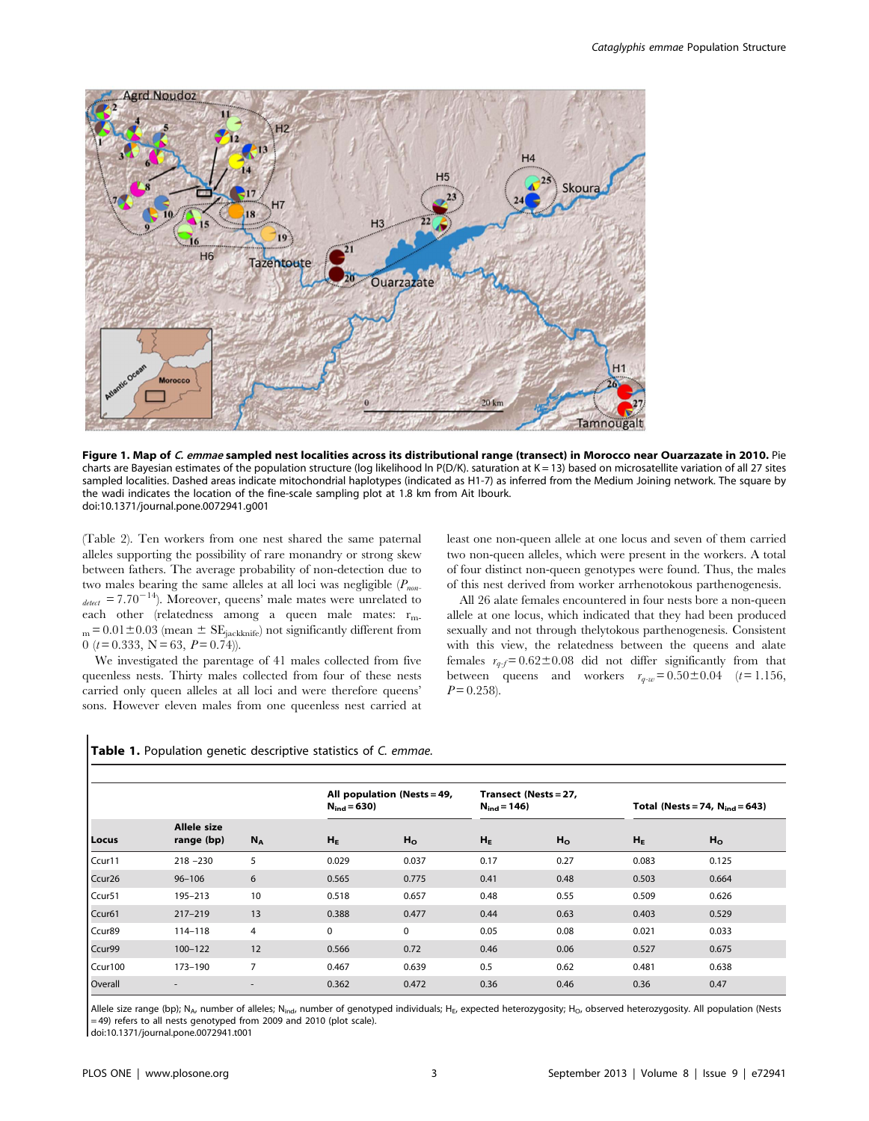

Figure 1. Map of C. emmae sampled nest localities across its distributional range (transect) in Morocco near Ouarzazate in 2010. Pie charts are Bayesian estimates of the population structure (log likelihood In P(D/K). saturation at  $K = 13$ ) based on microsatellite variation of all 27 sites sampled localities. Dashed areas indicate mitochondrial haplotypes (indicated as H1-7) as inferred from the Medium Joining network. The square by the wadi indicates the location of the fine-scale sampling plot at 1.8 km from Ait Ibourk. doi:10.1371/journal.pone.0072941.g001

(Table 2). Ten workers from one nest shared the same paternal alleles supporting the possibility of rare monandry or strong skew between fathers. The average probability of non-detection due to two males bearing the same alleles at all loci was negligible  $(P_{non-})$  $_{detect}$  = 7.70<sup>-14</sup>). Moreover, queens' male mates were unrelated to each other (relatedness among a queen male mates: rm- $_{\rm m}\,{=}\,0.01\,{\pm}\,0.03$  (mean  $\pm$  SE<sub>jackknife</sub>) not significantly different from 0 ( $t = 0.333$ , N = 63, P = 0.74)).

We investigated the parentage of 41 males collected from five queenless nests. Thirty males collected from four of these nests carried only queen alleles at all loci and were therefore queens' sons. However eleven males from one queenless nest carried at least one non-queen allele at one locus and seven of them carried two non-queen alleles, which were present in the workers. A total of four distinct non-queen genotypes were found. Thus, the males of this nest derived from worker arrhenotokous parthenogenesis.

All 26 alate females encountered in four nests bore a non-queen allele at one locus, which indicated that they had been produced sexually and not through thelytokous parthenogenesis. Consistent with this view, the relatedness between the queens and alate females  $r_{q-f} = 0.62 \pm 0.08$  did not differ significantly from that between queens and workers  $r_{q-w} = 0.50 \pm 0.04$  (t= 1.156,  $P = 0.258$ .

| Locus   | <b>Allele size</b><br>range (bp) | $N_A$ | All population (Nests = 49,<br>$N_{ind} = 630$ |                | Transect (Nests = 27,<br>$N_{ind} = 146$ |                | Total (Nests = 74, $N_{ind}$ = 643) |                |
|---------|----------------------------------|-------|------------------------------------------------|----------------|------------------------------------------|----------------|-------------------------------------|----------------|
|         |                                  |       | $H_E$                                          | H <sub>o</sub> | $H_E$                                    | H <sub>o</sub> | $H_E$                               | H <sub>o</sub> |
| Ccur11  | $218 - 230$                      | 5     | 0.029                                          | 0.037          | 0.17                                     | 0.27           | 0.083                               | 0.125          |
| Ccur26  | $96 - 106$                       | 6     | 0.565                                          | 0.775          | 0.41                                     | 0.48           | 0.503                               | 0.664          |
| Ccur51  | 195-213                          | 10    | 0.518                                          | 0.657          | 0.48                                     | 0.55           | 0.509                               | 0.626          |
| Ccur61  | $217 - 219$                      | 13    | 0.388                                          | 0.477          | 0.44                                     | 0.63           | 0.403                               | 0.529          |
| Ccur89  | $114 - 118$                      | 4     | 0                                              | $\mathbf 0$    | 0.05                                     | 0.08           | 0.021                               | 0.033          |
| Ccur99  | $100 - 122$                      | 12    | 0.566                                          | 0.72           | 0.46                                     | 0.06           | 0.527                               | 0.675          |
| Ccur100 | 173-190                          | 7     | 0.467                                          | 0.639          | 0.5                                      | 0.62           | 0.481                               | 0.638          |
| Overall | $\overline{\phantom{a}}$         |       | 0.362                                          | 0.472          | 0.36                                     | 0.46           | 0.36                                | 0.47           |

|  | <b>Table 1.</b> Population genetic descriptive statistics of C. emmae. |  |  |  |  |
|--|------------------------------------------------------------------------|--|--|--|--|
|--|------------------------------------------------------------------------|--|--|--|--|

Allele size range (bp); N<sub>A</sub>, number of alleles; N<sub>ind</sub>, number of genotyped individuals; H<sub>F</sub>, expected heterozygosity; H<sub>O</sub>, observed heterozygosity. All population (Nests = 49) refers to all nests genotyped from 2009 and 2010 (plot scale).

doi:10.1371/journal.pone.0072941.t001

 $\mathbf I$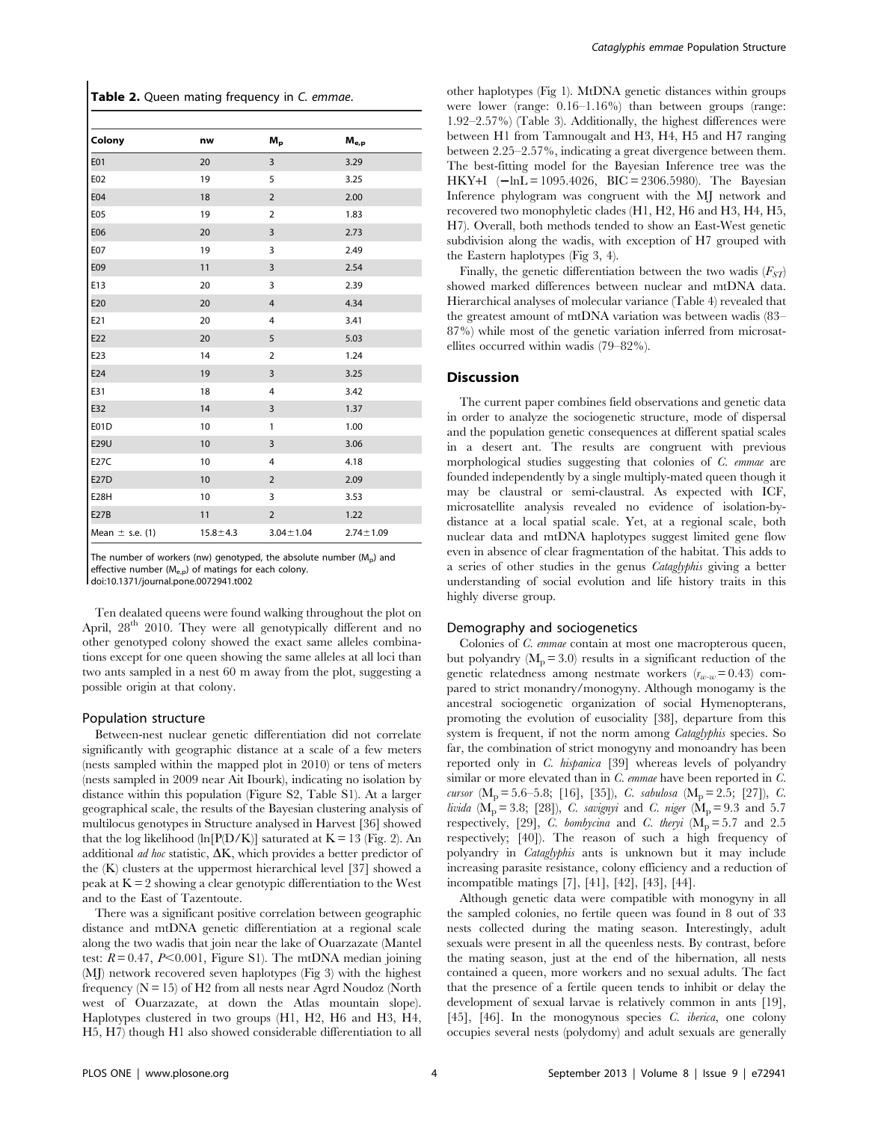Table 2. Queen mating frequency in C. emmae.

| Colony              | nw             | $M_{\rm p}$     | $\mathsf{M}_{\mathsf{e},\mathsf{p}}$ |
|---------------------|----------------|-----------------|--------------------------------------|
| E01                 | 20             | 3               | 3.29                                 |
| E02                 | 19             | 5               | 3.25                                 |
| E04                 | 18             | $\overline{2}$  | 2.00                                 |
| E05                 | 19             | $\overline{2}$  | 1.83                                 |
| E06                 | 20             | 3               | 2.73                                 |
| E07                 | 19             | $\overline{3}$  | 2.49                                 |
| E09                 | 11             | $\overline{3}$  | 2.54                                 |
| E13                 | 20             | 3               | 2.39                                 |
| E20                 | 20             | $\overline{4}$  | 4.34                                 |
| E21                 | 20             | 4               | 3.41                                 |
| E22                 | 20             | 5               | 5.03                                 |
| E23                 | 14             | $\overline{2}$  | 1.24                                 |
| E24                 | 19             | 3               | 3.25                                 |
| E31                 | 18             | 4               | 3.42                                 |
| E32                 | 14             | 3               | 1.37                                 |
| E01D                | 10             | $\mathbf{1}$    | 1.00                                 |
| <b>E29U</b>         | 10             | 3               | 3.06                                 |
| E27C                | 10             | 4               | 4.18                                 |
| <b>E27D</b>         | 10             | $\overline{2}$  | 2.09                                 |
| E <sub>28</sub> H   | 10             | 3               | 3.53                                 |
| <b>E27B</b>         | 11             | $\overline{2}$  | 1.22                                 |
| Mean $\pm$ s.e. (1) | $15.8 \pm 4.3$ | $3.04 \pm 1.04$ | $2.74 \pm 1.09$                      |

The number of workers (nw) genotyped, the absolute number  $(M<sub>n</sub>)$  and effective number (M<sub>e,p</sub>) of matings for each colony. doi:10.1371/journal.pone.0072941.t002

Ten dealated queens were found walking throughout the plot on April,  $28<sup>th</sup>$  2010. They were all genotypically different and no other genotyped colony showed the exact same alleles combinations except for one queen showing the same alleles at all loci than two ants sampled in a nest 60 m away from the plot, suggesting a possible origin at that colony.

#### Population structure

Between-nest nuclear genetic differentiation did not correlate significantly with geographic distance at a scale of a few meters (nests sampled within the mapped plot in 2010) or tens of meters (nests sampled in 2009 near Ait Ibourk), indicating no isolation by distance within this population (Figure S2, Table S1). At a larger geographical scale, the results of the Bayesian clustering analysis of multilocus genotypes in Structure analysed in Harvest [36] showed that the log likelihood (ln[P(D/K)] saturated at  $K = 13$  (Fig. 2). An additional *ad hoc* statistic,  $\Delta K$ , which provides a better predictor of the (K) clusters at the uppermost hierarchical level [37] showed a peak at  $K = 2$  showing a clear genotypic differentiation to the West and to the East of Tazentoute.

There was a significant positive correlation between geographic distance and mtDNA genetic differentiation at a regional scale along the two wadis that join near the lake of Ouarzazate (Mantel test:  $R = 0.47$ ,  $P<0.001$ , Figure S1). The mtDNA median joining (MJ) network recovered seven haplotypes (Fig 3) with the highest frequency  $(N = 15)$  of H2 from all nests near Agrd Noudoz (North west of Ouarzazate, at down the Atlas mountain slope). Haplotypes clustered in two groups (H1, H2, H6 and H3, H4, H5, H7) though H1 also showed considerable differentiation to all other haplotypes (Fig 1). MtDNA genetic distances within groups were lower (range: 0.16–1.16%) than between groups (range: 1.92–2.57%) (Table 3). Additionally, the highest differences were between H1 from Tamnougalt and H3, H4, H5 and H7 ranging between 2.25–2.57%, indicating a great divergence between them. The best-fitting model for the Bayesian Inference tree was the HKY+I  $(-\ln L = 1095.4026, \text{BIC} = 2306.5980)$ . The Bayesian Inference phylogram was congruent with the MJ network and recovered two monophyletic clades (H1, H2, H6 and H3, H4, H5, H7). Overall, both methods tended to show an East-West genetic subdivision along the wadis, with exception of H7 grouped with the Eastern haplotypes (Fig 3, 4).

Finally, the genetic differentiation between the two wadis  $(F_{ST})$ showed marked differences between nuclear and mtDNA data. Hierarchical analyses of molecular variance (Table 4) revealed that the greatest amount of mtDNA variation was between wadis (83– 87%) while most of the genetic variation inferred from microsatellites occurred within wadis (79–82%).

# Discussion

The current paper combines field observations and genetic data in order to analyze the sociogenetic structure, mode of dispersal and the population genetic consequences at different spatial scales in a desert ant. The results are congruent with previous morphological studies suggesting that colonies of C. emmae are founded independently by a single multiply-mated queen though it may be claustral or semi-claustral. As expected with ICF, microsatellite analysis revealed no evidence of isolation-bydistance at a local spatial scale. Yet, at a regional scale, both nuclear data and mtDNA haplotypes suggest limited gene flow even in absence of clear fragmentation of the habitat. This adds to a series of other studies in the genus Cataglyphis giving a better understanding of social evolution and life history traits in this highly diverse group.

## Demography and sociogenetics

Colonies of C. emmae contain at most one macropterous queen, but polyandry  $(M_p = 3.0)$  results in a significant reduction of the genetic relatedness among nestmate workers  $(r_{w-w}=0.43)$  compared to strict monandry/monogyny. Although monogamy is the ancestral sociogenetic organization of social Hymenopterans, promoting the evolution of eusociality [38], departure from this system is frequent, if not the norm among Cataglyphis species. So far, the combination of strict monogyny and monoandry has been reported only in C. hispanica [39] whereas levels of polyandry similar or more elevated than in C. emmae have been reported in C. cursor  $(M_p = 5.6 - 5.8; [16], [35]), C.$  sabulosa  $(M_p = 2.5; [27]), C.$ livida ( $M_p = 3.8$ ; [28]), *C. savignyi* and *C. niger* ( $M_p = 9.3$  and 5.7 respectively, [29], C. bombycina and C. theryi  $(M_p = 5.7$  and 2.5 respectively; [40]). The reason of such a high frequency of polyandry in Cataglyphis ants is unknown but it may include increasing parasite resistance, colony efficiency and a reduction of incompatible matings [7], [41], [42], [43], [44].

Although genetic data were compatible with monogyny in all the sampled colonies, no fertile queen was found in 8 out of 33 nests collected during the mating season. Interestingly, adult sexuals were present in all the queenless nests. By contrast, before the mating season, just at the end of the hibernation, all nests contained a queen, more workers and no sexual adults. The fact that the presence of a fertile queen tends to inhibit or delay the development of sexual larvae is relatively common in ants [19], [45], [46]. In the monogynous species C. iberica, one colony occupies several nests (polydomy) and adult sexuals are generally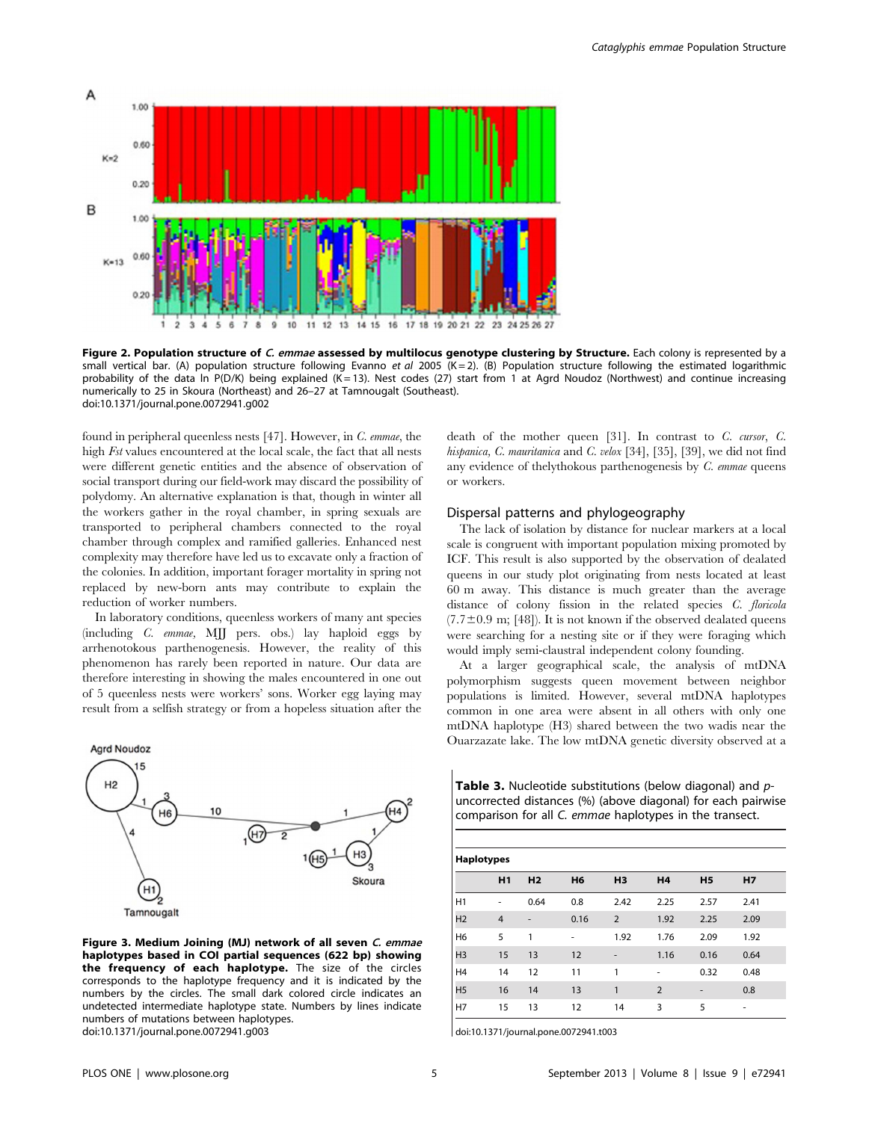

Figure 2. Population structure of C. emmae assessed by multilocus genotype clustering by Structure. Each colony is represented by a small vertical bar. (A) population structure following Evanno et al 2005 (K = 2). (B) Population structure following the estimated logarithmic probability of the data In P(D/K) being explained (K=13). Nest codes (27) start from 1 at Agrd Noudoz (Northwest) and continue increasing numerically to 25 in Skoura (Northeast) and 26–27 at Tamnougalt (Southeast). doi:10.1371/journal.pone.0072941.g002

found in peripheral queenless nests [47]. However, in C. emmae, the high Fst values encountered at the local scale, the fact that all nests were different genetic entities and the absence of observation of social transport during our field-work may discard the possibility of polydomy. An alternative explanation is that, though in winter all the workers gather in the royal chamber, in spring sexuals are transported to peripheral chambers connected to the royal chamber through complex and ramified galleries. Enhanced nest complexity may therefore have led us to excavate only a fraction of the colonies. In addition, important forager mortality in spring not replaced by new-born ants may contribute to explain the reduction of worker numbers.

In laboratory conditions, queenless workers of many ant species (including C. emmae, MJJ pers. obs.) lay haploid eggs by arrhenotokous parthenogenesis. However, the reality of this phenomenon has rarely been reported in nature. Our data are therefore interesting in showing the males encountered in one out of 5 queenless nests were workers' sons. Worker egg laying may result from a selfish strategy or from a hopeless situation after the



Figure 3. Medium Joining (MJ) network of all seven C. emmae haplotypes based in COI partial sequences (622 bp) showing the frequency of each haplotype. The size of the circles corresponds to the haplotype frequency and it is indicated by the numbers by the circles. The small dark colored circle indicates an undetected intermediate haplotype state. Numbers by lines indicate numbers of mutations between haplotypes. doi:10.1371/journal.pone.0072941.g003

death of the mother queen [31]. In contrast to C. cursor, C. hispanica, C. mauritanica and C. velox [34], [35], [39], we did not find any evidence of thelythokous parthenogenesis by C. emmae queens or workers.

# Dispersal patterns and phylogeography

The lack of isolation by distance for nuclear markers at a local scale is congruent with important population mixing promoted by ICF. This result is also supported by the observation of dealated queens in our study plot originating from nests located at least 60 m away. This distance is much greater than the average distance of colony fission in the related species C. floricola  $(7.7\pm0.9 \text{ m}; [48])$ . It is not known if the observed dealated queens were searching for a nesting site or if they were foraging which would imply semi-claustral independent colony founding.

At a larger geographical scale, the analysis of mtDNA polymorphism suggests queen movement between neighbor populations is limited. However, several mtDNA haplotypes common in one area were absent in all others with only one mtDNA haplotype (H3) shared between the two wadis near the Ouarzazate lake. The low mtDNA genetic diversity observed at a

Table 3. Nucleotide substitutions (below diagonal) and  $p$ uncorrected distances (%) (above diagonal) for each pairwise comparison for all C. emmae haplotypes in the transect.

| <b>Haplotypes</b> |                |                |                |                |                |                |                |
|-------------------|----------------|----------------|----------------|----------------|----------------|----------------|----------------|
|                   | H1             | H <sub>2</sub> | H <sub>6</sub> | H <sub>3</sub> | H <sub>4</sub> | H <sub>5</sub> | H <sub>7</sub> |
| H1                |                | 0.64           | 0.8            | 2.42           | 2.25           | 2.57           | 2.41           |
| H <sub>2</sub>    | $\overline{4}$ | ٠              | 0.16           | 2              | 1.92           | 2.25           | 2.09           |
| H <sub>6</sub>    | 5              | 1              | ٠              | 1.92           | 1.76           | 2.09           | 1.92           |
| H <sub>3</sub>    | 15             | 13             | 12             | ٠              | 1.16           | 0.16           | 0.64           |
| H <sub>4</sub>    | 14             | 12             | 11             | 1              | ٠              | 0.32           | 0.48           |
| H <sub>5</sub>    | 16             | 14             | 13             | 1              | $\overline{2}$ |                | 0.8            |
| H7                | 15             | 13             | 12             | 14             | 3              | 5              | ۰              |

doi:10.1371/journal.pone.0072941.t003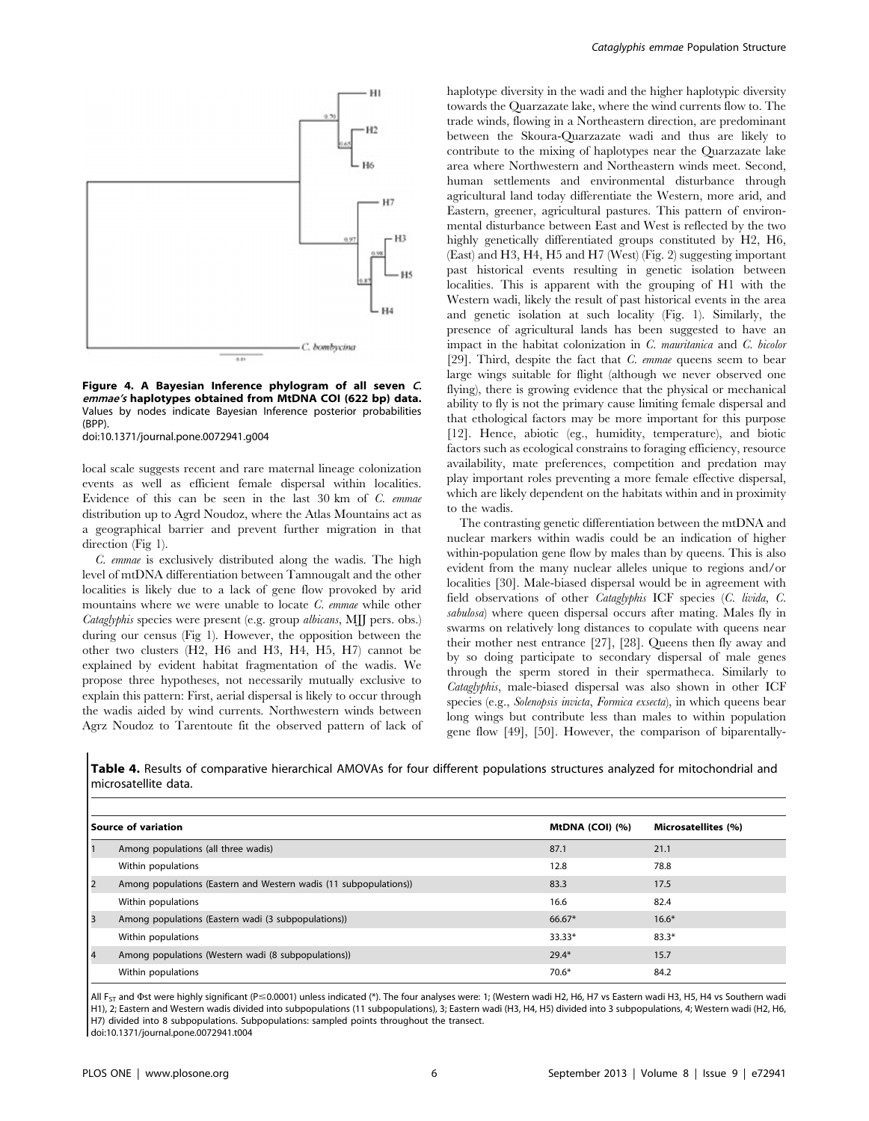

Figure 4. A Bayesian Inference phylogram of all seven C. emmae's haplotypes obtained from MtDNA COI (622 bp) data. Values by nodes indicate Bayesian Inference posterior probabilities (BPP). doi:10.1371/journal.pone.0072941.g004

local scale suggests recent and rare maternal lineage colonization events as well as efficient female dispersal within localities. Evidence of this can be seen in the last 30 km of C. emmae distribution up to Agrd Noudoz, where the Atlas Mountains act as a geographical barrier and prevent further migration in that direction (Fig 1).

C. emmae is exclusively distributed along the wadis. The high level of mtDNA differentiation between Tamnougalt and the other localities is likely due to a lack of gene flow provoked by arid mountains where we were unable to locate C. emmae while other Cataglyphis species were present (e.g. group albicans, MJJ pers. obs.) during our census (Fig 1). However, the opposition between the other two clusters (H2, H6 and H3, H4, H5, H7) cannot be explained by evident habitat fragmentation of the wadis. We propose three hypotheses, not necessarily mutually exclusive to explain this pattern: First, aerial dispersal is likely to occur through the wadis aided by wind currents. Northwestern winds between Agrz Noudoz to Tarentoute fit the observed pattern of lack of haplotype diversity in the wadi and the higher haplotypic diversity towards the Quarzazate lake, where the wind currents flow to. The trade winds, flowing in a Northeastern direction, are predominant between the Skoura-Quarzazate wadi and thus are likely to contribute to the mixing of haplotypes near the Quarzazate lake area where Northwestern and Northeastern winds meet. Second, human settlements and environmental disturbance through agricultural land today differentiate the Western, more arid, and Eastern, greener, agricultural pastures. This pattern of environmental disturbance between East and West is reflected by the two highly genetically differentiated groups constituted by H2, H6, (East) and H3, H4, H5 and H7 (West) (Fig. 2) suggesting important past historical events resulting in genetic isolation between localities. This is apparent with the grouping of H1 with the Western wadi, likely the result of past historical events in the area and genetic isolation at such locality (Fig. 1). Similarly, the presence of agricultural lands has been suggested to have an impact in the habitat colonization in C. mauritanica and C. bicolor [29]. Third, despite the fact that  $C$ . emmae queens seem to bear large wings suitable for flight (although we never observed one flying), there is growing evidence that the physical or mechanical ability to fly is not the primary cause limiting female dispersal and that ethological factors may be more important for this purpose [12]. Hence, abiotic (eg., humidity, temperature), and biotic factors such as ecological constrains to foraging efficiency, resource availability, mate preferences, competition and predation may play important roles preventing a more female effective dispersal, which are likely dependent on the habitats within and in proximity to the wadis.

The contrasting genetic differentiation between the mtDNA and nuclear markers within wadis could be an indication of higher within-population gene flow by males than by queens. This is also evident from the many nuclear alleles unique to regions and/or localities [30]. Male-biased dispersal would be in agreement with field observations of other Cataglyphis ICF species (C. livida, C. sabulosa) where queen dispersal occurs after mating. Males fly in swarms on relatively long distances to copulate with queens near their mother nest entrance [27], [28]. Queens then fly away and by so doing participate to secondary dispersal of male genes through the sperm stored in their spermatheca. Similarly to Cataglyphis, male-biased dispersal was also shown in other ICF species (e.g., Solenopsis invicta, Formica exsecta), in which queens bear long wings but contribute less than males to within population gene flow [49], [50]. However, the comparison of biparentally-

Table 4. Results of comparative hierarchical AMOVAs for four different populations structures analyzed for mitochondrial and microsatellite data.

|                | Source of variation                                               | MtDNA (COI) (%) | Microsatellites (%) |
|----------------|-------------------------------------------------------------------|-----------------|---------------------|
|                | Among populations (all three wadis)                               | 87.1            | 21.1                |
|                | Within populations                                                | 12.8            | 78.8                |
| $\overline{2}$ | Among populations (Eastern and Western wadis (11 subpopulations)) | 83.3            | 17.5                |
|                | Within populations                                                | 16.6            | 82.4                |
| 3              | Among populations (Eastern wadi (3 subpopulations))               | $66.67*$        | $16.6*$             |
|                | Within populations                                                | 33.33*          | $83.3*$             |
| 4              | Among populations (Western wadi (8 subpopulations))               | $29.4*$         | 15.7                |
|                | Within populations                                                | $70.6*$         | 84.2                |

All F<sub>ST</sub> and Φst were highly significant (P 
= 0.0001) unless indicated (\*). The four analyses were: 1; (Western wadi H2, H6, H7 vs Eastern wadi H3, H5, H4 vs Southern wadi H1), 2; Eastern and Western wadis divided into subpopulations (11 subpopulations), 3; Eastern wadi (H3, H4, H5) divided into 3 subpopulations, 4; Western wadi (H2, H6, H7) divided into 8 subpopulations. Subpopulations: sampled points throughout the transect.

doi:10.1371/journal.pone.0072941.t004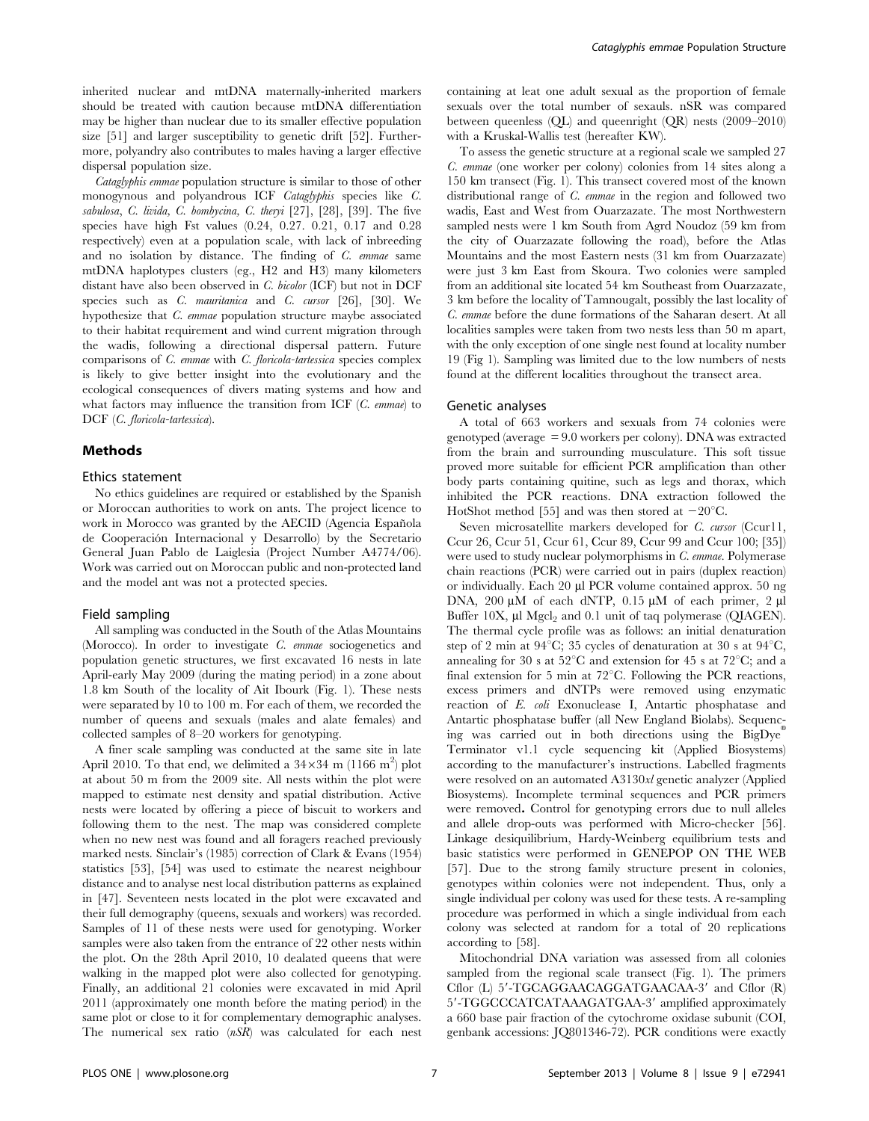inherited nuclear and mtDNA maternally-inherited markers should be treated with caution because mtDNA differentiation may be higher than nuclear due to its smaller effective population size [51] and larger susceptibility to genetic drift [52]. Furthermore, polyandry also contributes to males having a larger effective dispersal population size.

Cataglyphis emmae population structure is similar to those of other monogynous and polyandrous ICF Cataglyphis species like C. sabulosa, C. livida, C. bombycina, C. theryi [27], [28], [39]. The five species have high Fst values (0.24, 0.27. 0.21, 0.17 and 0.28 respectively) even at a population scale, with lack of inbreeding and no isolation by distance. The finding of C. emmae same mtDNA haplotypes clusters (eg., H2 and H3) many kilometers distant have also been observed in C. bicolor (ICF) but not in DCF species such as C. mauritanica and C. cursor [26], [30]. We hypothesize that C. emmae population structure maybe associated to their habitat requirement and wind current migration through the wadis, following a directional dispersal pattern. Future comparisons of C. emmae with C. floricola-tartessica species complex is likely to give better insight into the evolutionary and the ecological consequences of divers mating systems and how and what factors may influence the transition from ICF  $(C. \text{ emmae})$  to DCF (C. floricola-tartessica).

#### Methods

#### Ethics statement

No ethics guidelines are required or established by the Spanish or Moroccan authorities to work on ants. The project licence to work in Morocco was granted by the AECID (Agencia Española de Cooperación Internacional y Desarrollo) by the Secretario General Juan Pablo de Laiglesia (Project Number A4774/06). Work was carried out on Moroccan public and non-protected land and the model ant was not a protected species.

#### Field sampling

All sampling was conducted in the South of the Atlas Mountains (Morocco). In order to investigate C. emmae sociogenetics and population genetic structures, we first excavated 16 nests in late April-early May 2009 (during the mating period) in a zone about 1.8 km South of the locality of Ait Ibourk (Fig. 1). These nests were separated by 10 to 100 m. For each of them, we recorded the number of queens and sexuals (males and alate females) and collected samples of 8–20 workers for genotyping.

A finer scale sampling was conducted at the same site in late April 2010. To that end, we delimited a  $34\times34$  m (1166 m<sup>2</sup>) plot at about 50 m from the 2009 site. All nests within the plot were mapped to estimate nest density and spatial distribution. Active nests were located by offering a piece of biscuit to workers and following them to the nest. The map was considered complete when no new nest was found and all foragers reached previously marked nests. Sinclair's (1985) correction of Clark & Evans (1954) statistics [53], [54] was used to estimate the nearest neighbour distance and to analyse nest local distribution patterns as explained in [47]. Seventeen nests located in the plot were excavated and their full demography (queens, sexuals and workers) was recorded. Samples of 11 of these nests were used for genotyping. Worker samples were also taken from the entrance of 22 other nests within the plot. On the 28th April 2010, 10 dealated queens that were walking in the mapped plot were also collected for genotyping. Finally, an additional 21 colonies were excavated in mid April 2011 (approximately one month before the mating period) in the same plot or close to it for complementary demographic analyses. The numerical sex ratio (nSR) was calculated for each nest

containing at leat one adult sexual as the proportion of female sexuals over the total number of sexauls. nSR was compared between queenless (QL) and queenright (QR) nests (2009–2010) with a Kruskal-Wallis test (hereafter KW).

To assess the genetic structure at a regional scale we sampled 27 C. emmae (one worker per colony) colonies from 14 sites along a 150 km transect (Fig. 1). This transect covered most of the known distributional range of C. emmae in the region and followed two wadis, East and West from Ouarzazate. The most Northwestern sampled nests were 1 km South from Agrd Noudoz (59 km from the city of Ouarzazate following the road), before the Atlas Mountains and the most Eastern nests (31 km from Ouarzazate) were just 3 km East from Skoura. Two colonies were sampled from an additional site located 54 km Southeast from Ouarzazate, 3 km before the locality of Tamnougalt, possibly the last locality of C. emmae before the dune formations of the Saharan desert. At all localities samples were taken from two nests less than 50 m apart, with the only exception of one single nest found at locality number 19 (Fig 1). Sampling was limited due to the low numbers of nests found at the different localities throughout the transect area.

#### Genetic analyses

A total of 663 workers and sexuals from 74 colonies were genotyped (average  $= 9.0$  workers per colony). DNA was extracted from the brain and surrounding musculature. This soft tissue proved more suitable for efficient PCR amplification than other body parts containing quitine, such as legs and thorax, which inhibited the PCR reactions. DNA extraction followed the HotShot method [55] and was then stored at  $-20^{\circ}$ C.

Seven microsatellite markers developed for C. cursor (Ccur11, Ccur 26, Ccur 51, Ccur 61, Ccur 89, Ccur 99 and Ccur 100; [35]) were used to study nuclear polymorphisms in C. emmae. Polymerase chain reactions (PCR) were carried out in pairs (duplex reaction) or individually. Each 20 µl PCR volume contained approx. 50 ng DNA, 200  $\mu$ M of each dNTP, 0.15  $\mu$ M of each primer, 2  $\mu$ l Buffer  $10X$ ,  $\mu$ l Mgcl<sub>2</sub> and 0.1 unit of taq polymerase (QIAGEN). The thermal cycle profile was as follows: an initial denaturation step of 2 min at  $94^{\circ}$ C; 35 cycles of denaturation at 30 s at  $94^{\circ}$ C, annealing for 30 s at  $52^{\circ}$ C and extension for 45 s at  $72^{\circ}$ C; and a final extension for 5 min at  $72^{\circ}$ C. Following the PCR reactions, excess primers and dNTPs were removed using enzymatic reaction of E. coli Exonuclease I, Antartic phosphatase and Antartic phosphatase buffer (all New England Biolabs). Sequencing was carried out in both directions using the BigDye Terminator v1.1 cycle sequencing kit (Applied Biosystems) according to the manufacturer's instructions. Labelled fragments were resolved on an automated A3130xl genetic analyzer (Applied Biosystems). Incomplete terminal sequences and PCR primers were removed. Control for genotyping errors due to null alleles and allele drop-outs was performed with Micro-checker [56]. Linkage desiquilibrium, Hardy-Weinberg equilibrium tests and basic statistics were performed in GENEPOP ON THE WEB [57]. Due to the strong family structure present in colonies, genotypes within colonies were not independent. Thus, only a single individual per colony was used for these tests. A re-sampling procedure was performed in which a single individual from each colony was selected at random for a total of 20 replications according to [58].

Mitochondrial DNA variation was assessed from all colonies sampled from the regional scale transect (Fig. 1). The primers Cflor  $(L)$  5'-TGCAGGAACAGGATGAACAA-3' and Cflor  $(R)$ 5'-TGGCCCATCATAAAGATGAA-3' amplified approximately a 660 base pair fraction of the cytochrome oxidase subunit (COI, genbank accessions: JQ801346-72). PCR conditions were exactly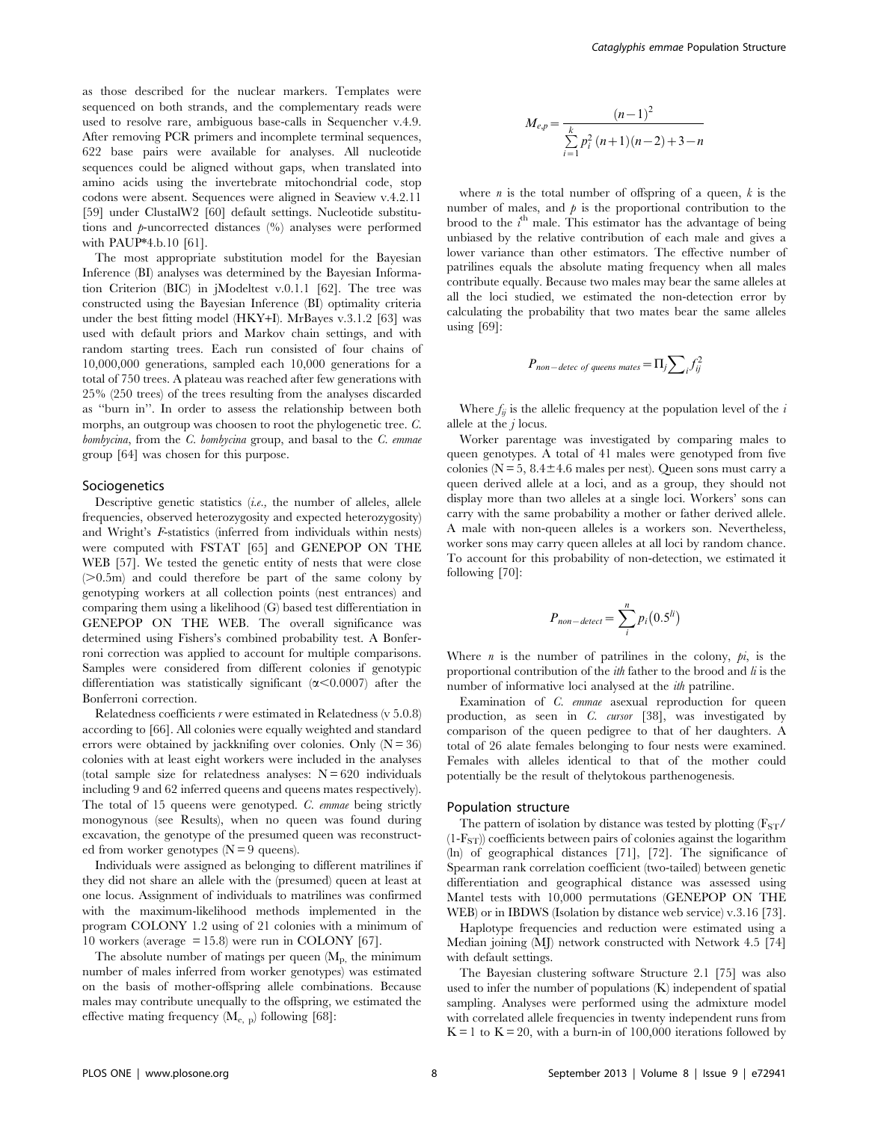as those described for the nuclear markers. Templates were sequenced on both strands, and the complementary reads were used to resolve rare, ambiguous base-calls in Sequencher v.4.9. After removing PCR primers and incomplete terminal sequences, 622 base pairs were available for analyses. All nucleotide sequences could be aligned without gaps, when translated into amino acids using the invertebrate mitochondrial code, stop codons were absent. Sequences were aligned in Seaview v.4.2.11 [59] under ClustalW2 [60] default settings. Nucleotide substitutions and p-uncorrected distances (%) analyses were performed with PAUP\*4.b.10 [61].

The most appropriate substitution model for the Bayesian Inference (BI) analyses was determined by the Bayesian Information Criterion (BIC) in jModeltest v.0.1.1 [62]. The tree was constructed using the Bayesian Inference (BI) optimality criteria under the best fitting model (HKY+I). MrBayes v.3.1.2 [63] was used with default priors and Markov chain settings, and with random starting trees. Each run consisted of four chains of 10,000,000 generations, sampled each 10,000 generations for a total of 750 trees. A plateau was reached after few generations with 25% (250 trees) of the trees resulting from the analyses discarded as ''burn in''. In order to assess the relationship between both morphs, an outgroup was choosen to root the phylogenetic tree. C. bombycina, from the C. bombycina group, and basal to the C. emmae group [64] was chosen for this purpose.

# Sociogenetics

Descriptive genetic statistics (i.e., the number of alleles, allele frequencies, observed heterozygosity and expected heterozygosity) and Wright's F-statistics (inferred from individuals within nests) were computed with FSTAT [65] and GENEPOP ON THE WEB [57]. We tested the genetic entity of nests that were close  $(0.5m)$  and could therefore be part of the same colony by genotyping workers at all collection points (nest entrances) and comparing them using a likelihood (G) based test differentiation in GENEPOP ON THE WEB. The overall significance was determined using Fishers's combined probability test. A Bonferroni correction was applied to account for multiple comparisons. Samples were considered from different colonies if genotypic differentiation was statistically significant  $(\alpha < 0.0007)$  after the Bonferroni correction.

Relatedness coefficients r were estimated in Relatedness (v 5.0.8) according to [66]. All colonies were equally weighted and standard errors were obtained by jackknifing over colonies. Only  $(N = 36)$ colonies with at least eight workers were included in the analyses (total sample size for relatedness analyses:  $N = 620$  individuals including 9 and 62 inferred queens and queens mates respectively). The total of 15 queens were genotyped. C. emmae being strictly monogynous (see Results), when no queen was found during excavation, the genotype of the presumed queen was reconstructed from worker genotypes  $(N = 9$  queens).

Individuals were assigned as belonging to different matrilines if they did not share an allele with the (presumed) queen at least at one locus. Assignment of individuals to matrilines was confirmed with the maximum-likelihood methods implemented in the program COLONY 1.2 using of 21 colonies with a minimum of 10 workers (average  $= 15.8$ ) were run in COLONY [67].

The absolute number of matings per queen  $(M_p, t)$  the minimum number of males inferred from worker genotypes) was estimated on the basis of mother-offspring allele combinations. Because males may contribute unequally to the offspring, we estimated the effective mating frequency  $(M_{e, p})$  following [68]:

$$
M_{e,p} = \frac{(n-1)^2}{\sum_{i=1}^{k} p_i^2 (n+1)(n-2) + 3 - n}
$$

where *n* is the total number of offspring of a queen,  $k$  is the number of males, and  $\phi$  is the proportional contribution to the brood to the  $i^{\text{th}}$  male. This estimator has the advantage of being unbiased by the relative contribution of each male and gives a lower variance than other estimators. The effective number of patrilines equals the absolute mating frequency when all males contribute equally. Because two males may bear the same alleles at all the loci studied, we estimated the non-detection error by calculating the probability that two mates bear the same alleles using [69]:

$$
P_{non-detec\ of\ queens\ mates} = \Pi_j \sum_i f_{ij}^2
$$

Where  $f_{ij}$  is the allelic frequency at the population level of the i allele at the  $j$  locus.

Worker parentage was investigated by comparing males to queen genotypes. A total of 41 males were genotyped from five colonies ( $N = 5$ ,  $8.4 \pm 4.6$  males per nest). Queen sons must carry a queen derived allele at a loci, and as a group, they should not display more than two alleles at a single loci. Workers' sons can carry with the same probability a mother or father derived allele. A male with non-queen alleles is a workers son. Nevertheless, worker sons may carry queen alleles at all loci by random chance. To account for this probability of non-detection, we estimated it following [70]:

$$
P_{non-defect} = \sum_{i}^{n} p_i (0.5^{li})
$$

Where  $n$  is the number of patrilines in the colony,  $pi$ , is the proportional contribution of the  $ith$  father to the brood and  $li$  is the number of informative loci analysed at the *ith* patriline.

Examination of C. emmae asexual reproduction for queen production, as seen in C. cursor [38], was investigated by comparison of the queen pedigree to that of her daughters. A total of 26 alate females belonging to four nests were examined. Females with alleles identical to that of the mother could potentially be the result of thelytokous parthenogenesis.

#### Population structure

The pattern of isolation by distance was tested by plotting  $(F_{ST}/F_{ST})$  $(1-F<sub>ST</sub>)$ ) coefficients between pairs of colonies against the logarithm (ln) of geographical distances [71], [72]. The significance of Spearman rank correlation coefficient (two-tailed) between genetic differentiation and geographical distance was assessed using Mantel tests with 10,000 permutations (GENEPOP ON THE WEB) or in IBDWS (Isolation by distance web service) v.3.16 [73].

Haplotype frequencies and reduction were estimated using a Median joining (MJ) network constructed with Network 4.5 [74] with default settings.

The Bayesian clustering software Structure 2.1 [75] was also used to infer the number of populations (K) independent of spatial sampling. Analyses were performed using the admixture model with correlated allele frequencies in twenty independent runs from  $K = 1$  to  $K = 20$ , with a burn-in of 100,000 iterations followed by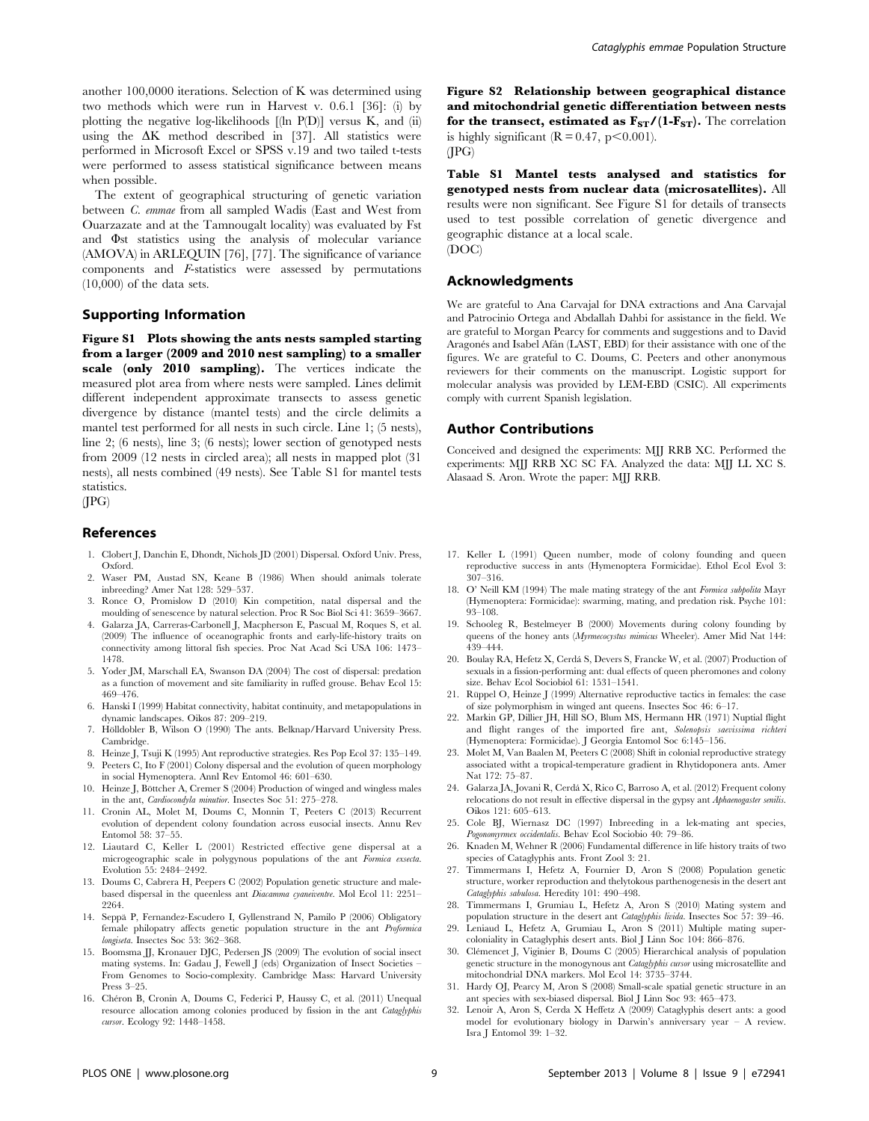another 100,0000 iterations. Selection of K was determined using two methods which were run in Harvest v. 0.6.1 [36]: (i) by plotting the negative log-likelihoods [(ln P(D)] versus K, and (ii) using the  $\Delta K$  method described in [37]. All statistics were performed in Microsoft Excel or SPSS v.19 and two tailed t-tests were performed to assess statistical significance between means when possible.

The extent of geographical structuring of genetic variation between C. emmae from all sampled Wadis (East and West from Ouarzazate and at the Tamnougalt locality) was evaluated by Fst and  $\Phi$ st statistics using the analysis of molecular variance (AMOVA) in ARLEQUIN [76], [77]. The significance of variance components and F-statistics were assessed by permutations  $(10,000)$  of the data sets.

# Supporting Information

Figure S1 Plots showing the ants nests sampled starting from a larger (2009 and 2010 nest sampling) to a smaller scale (only 2010 sampling). The vertices indicate the measured plot area from where nests were sampled. Lines delimit different independent approximate transects to assess genetic divergence by distance (mantel tests) and the circle delimits a mantel test performed for all nests in such circle. Line 1; (5 nests), line 2; (6 nests), line 3; (6 nests); lower section of genotyped nests from 2009 (12 nests in circled area); all nests in mapped plot (31 nests), all nests combined (49 nests). See Table S1 for mantel tests statistics.

(JPG)

#### References

- 1. Clobert J, Danchin E, Dhondt, Nichols JD (2001) Dispersal. Oxford Univ. Press, Oxford.
- 2. Waser PM, Austad SN, Keane B (1986) When should animals tolerate inbreeding? Amer Nat 128: 529–537.
- 3. Ronce O, Promislow D (2010) Kin competition, natal dispersal and the moulding of senescence by natural selection. Proc R Soc Biol Sci 41: 3659–3667.
- 4. Galarza JA, Carreras-Carbonell J, Macpherson E, Pascual M, Roques S, et al. (2009) The influence of oceanographic fronts and early-life-history traits on connectivity among littoral fish species. Proc Nat Acad Sci USA 106: 1473– 1478.
- 5. Yoder JM, Marschall EA, Swanson DA (2004) The cost of dispersal: predation as a function of movement and site familiarity in ruffed grouse. Behav Ecol 15: 469–476.
- 6. Hanski I (1999) Habitat connectivity, habitat continuity, and metapopulations in dynamic landscapes. Oikos 87: 209–219.
- 7. Hölldobler B, Wilson O (1990) The ants. Belknap/Harvard University Press. Cambridge.
- 8. Heinze J, Tsuji K (1995) Ant reproductive strategies. Res Pop Ecol 37: 135–149. 9. Peeters C, Ito F (2001) Colony dispersal and the evolution of queen morphology
- in social Hymenoptera. Annl Rev Entomol 46: 601–630. 10. Heinze J, Böttcher A, Cremer S (2004) Production of winged and wingless males
- in the ant, Cardiocondyla minutior. Insectes Soc 51: 275–278. 11. Cronin AL, Molet M, Doums C, Monnin T, Peeters C (2013) Recurrent
- evolution of dependent colony foundation across eusocial insects. Annu Rev Entomol 58: 37–55.
- 12. Liautard C, Keller L (2001) Restricted effective gene dispersal at a microgeographic scale in polygynous populations of the ant Formica exsecta. Evolution 55: 2484–2492.
- 13. Doums C, Cabrera H, Peepers C (2002) Population genetic structure and malebased dispersal in the queenless ant Diacamma cyaneiventre. Mol Ecol 11: 2251– 2264
- 14. Seppa¨ P, Fernandez-Escudero I, Gyllenstrand N, Pamilo P (2006) Obligatory female philopatry affects genetic population structure in the ant Proformica longiseta. Insectes Soc 53: 362–368.
- 15. Boomsma JJ, Kronauer DJC, Pedersen JS (2009) The evolution of social insect mating systems. In: Gadau J, Fewell J (eds) Organization of Insect Societies – From Genomes to Socio-complexity. Cambridge Mass: Harvard University Press 3–25.
- 16. Chéron B, Cronin A, Doums C, Federici P, Haussy C, et al. (2011) Unequal resource allocation among colonies produced by fission in the ant Cataglyphis cursor. Ecology 92: 1448–1458.

Figure S2 Relationship between geographical distance and mitochondrial genetic differentiation between nests for the transect, estimated as  $F_{ST}/(1-F_{ST})$ . The correlation is highly significant  $(R = 0.47, p < 0.001)$ . (JPG)

Table S1 Mantel tests analysed and statistics for genotyped nests from nuclear data (microsatellites). All results were non significant. See Figure S1 for details of transects used to test possible correlation of genetic divergence and geographic distance at a local scale. (DOC)

# Acknowledgments

We are grateful to Ana Carvajal for DNA extractions and Ana Carvajal and Patrocinio Ortega and Abdallah Dahbi for assistance in the field. We are grateful to Morgan Pearcy for comments and suggestions and to David Aragonés and Isabel Afán (LAST, EBD) for their assistance with one of the figures. We are grateful to C. Doums, C. Peeters and other anonymous reviewers for their comments on the manuscript. Logistic support for molecular analysis was provided by LEM-EBD (CSIC). All experiments comply with current Spanish legislation.

#### Author Contributions

Conceived and designed the experiments: MJJ RRB XC. Performed the experiments: MJJ RRB XC SC FA. Analyzed the data: MJJ LL XC S. Alasaad S. Aron. Wrote the paper: MJJ RRB.

- 17. Keller L (1991) Queen number, mode of colony founding and queen reproductive success in ants (Hymenoptera Formicidae). Ethol Ecol Evol 3: 307–316.
- 18. O' Neill KM (1994) The male mating strategy of the ant Formica subpolita Mayr (Hymenoptera: Formicidae): swarming, mating, and predation risk. Psyche 101: 93–108.
- 19. Schooleg R, Bestelmeyer B (2000) Movements during colony founding by queens of the honey ants (Myrmecocystus mimicus Wheeler). Amer Mid Nat 144: 439–444.
- 20. Boulay RA, Hefetz X, Cerda´ S, Devers S, Francke W, et al. (2007) Production of sexuals in a fission-performing ant: dual effects of queen pheromones and colony size. Behav Ecol Sociobiol 61: 1531–1541.
- 21. Rüppel O, Heinze J (1999) Alternative reproductive tactics in females: the case of size polymorphism in winged ant queens. Insectes Soc 46: 6–17.
- 22. Markin GP, Dillier JH, Hill SO, Blum MS, Hermann HR (1971) Nuptial flight and flight ranges of the imported fire ant, Solenopsis saevissima richteri (Hymenoptera: Formicidae). J Georgia Entomol Soc 6:145–156.
- 23. Molet M, Van Baalen M, Peeters C (2008) Shift in colonial reproductive strategy associated witht a tropical-temperature gradient in Rhytidoponera ants. Amer Nat 172: 75–87.
- 24. Galarza JA, Jovani R, Cerda´ X, Rico C, Barroso A, et al. (2012) Frequent colony relocations do not result in effective dispersal in the gypsy ant Aphaenogaster senilis. Oikos 121: 605–613.
- 25. Cole BJ, Wiernasz DC (1997) Inbreeding in a lek-mating ant species, Pogonomyrmex occidentalis. Behav Ecol Sociobio 40: 79–86.
- 26. Knaden M, Wehner R (2006) Fundamental difference in life history traits of two species of Cataglyphis ants. Front Zool 3: 21.
- 27. Timmermans I, Hefetz A, Fournier D, Aron S (2008) Population genetic structure, worker reproduction and thelytokous parthenogenesis in the desert ant Cataglyphis sabulosa. Heredity 101: 490–498.
- 28. Timmermans I, Grumiau L, Hefetz A, Aron S (2010) Mating system and population structure in the desert ant Cataglyphis livida. Insectes Soc 57: 39–46.
- 29. Leniaud L, Hefetz A, Grumiau L, Aron S (2011) Multiple mating supercoloniality in Cataglyphis desert ants. Biol J Linn Soc 104: 866–876.
- 30. Cle´mencet J, Viginier B, Doums C (2005) Hierarchical analysis of population genetic structure in the monogynous ant Cataglyphis cursor using microsatellite and mitochondrial DNA markers. Mol Ecol 14: 3735–3744.
- 31. Hardy OJ, Pearcy M, Aron S (2008) Small-scale spatial genetic structure in an ant species with sex-biased dispersal. Biol J Linn Soc 93: 465–473.
- 32. Lenoir A, Aron S, Cerda X Heffetz A (2009) Cataglyphis desert ants: a good model for evolutionary biology in Darwin's anniversary year – A review. Isra J Entomol 39: 1–32.